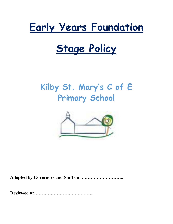# **Early Years Foundation**

# **Stage Policy**

# **Kilby St. Mary's C of E Primary School**



**Adopted by Governors and Staff on ………………………..**

**Reviewed on ………………………………..**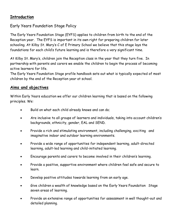# **Introduction**

# Early Years Foundation Stage Policy

The Early Years Foundation Stage (EYFS) applies to children from birth to the end of the Reception year. The EYFS is important in its own right for preparing children for later schooling. At Kilby St. Mary's C of E Primary School we believe that this stage lays the foundations for each child's future learning and is therefore a very significant time.

At Kilby St. Mary's, children join the Reception class in the year that they turn five. In partnership with parents and carers we enable the children to begin the process of becoming active learners for life.

The Early Years Foundation Stage profile handbook sets out what is typically expected of most children by the end of the Reception year at school.

### **Aims and objectives**

Within Early Years education we offer our children learning that is based on the following principles. We:

- Build on what each child already knows and can do;
- Are inclusive to all groups of learners and individuals, taking into account children's backgrounds, ethnicity, gender, EAL and SEND.
- Provide a rich and stimulating environment, including challenging, exciting and imaginative indoor and outdoor learning environments.
- Provide a wide range of opportunities for independent learning, adult-directed learning, adult-led learning and child-initiated learning.
- Encourage parents and carers to become involved in their children's learning.
- Provide a positive, supportive environment where children feel safe and secure to learn.
- Develop positive attitudes towards learning from an early age.
- Give children a wealth of knowledge based on the Early Years Foundation Stage seven areas of learning.
- Provide an extensive range of opportunities for assessment in well thought-out and detailed planning.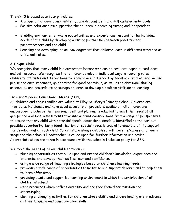The EYFS is based upon four principles:

- A unique child: developing resilient, capable, confident and self-assured individuals.
- Positive relationships: supporting the children in becoming strong and independent.
- Enabling environments: where opportunities and experiences respond to the individual needs of the child by developing a strong partnership between practitioners, parents/carers and the child.
- Learning and developing: an acknowledgement that children learn in different ways and at different rates.

#### **A Unique Child**

We recognise that every child is a competent learner who can be resilient, capable, confident and self-assured. We recognise that children develop in individual ways, at varying rates. Children's attitudes and dispositions to learning are influenced by feedback from others; we use praise and encouragement, golden time for good behaviour, as well as celebration/ sharing assemblies and rewards, to encourage children to develop a positive attitude to learning.

#### **Inclusion/Special Educational Needs (SEN)**

All children and their families are valued at Kilby St. Mary's Primary School. Children are treated as individuals and have equal access to all provisions available. All children are encouraged to achieve their personal best and planning is adapted to meet the needs of all groups and abilities. Assessments take into account contributions from a range of perspectives to ensure that any child with potential special educational needs is identified at the earliest possible opportunity. Early identification of special needs is crucial to enable staff to support the development of each child. Concerns are always discussed with parents/carers at an early stage and the school's Headteacher is called upon for further information and advice. Appropriate steps are taken in accordance with the school's Inclusion policy for SEN.

We meet the needs of all our children through:

- planning opportunities that build upon and extend children's knowledge, experience and interests, and develop their self-esteem and confidence;
- using a wide range of teaching strategies based on children's learning needs;
- providing a wide range of opportunities to motivate and support children and to help them to learn effectively;
- providing a safe and supportive learning environment in which the contribution of all children is valued;
- using resources which reflect diversity and are free from discrimination and stereotyping;
- planning challenging activities for children whose ability and understanding are in advance of their language and communication skills;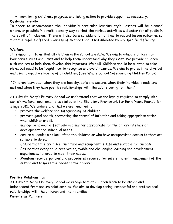monitoring children's progress and taking action to provide support as necessary.

# **Dyslexia friendly**

In order to accommodate the individual's particular learning style, lessons will be planned wherever possible in a multi-sensory way so that the various activities will cater for all pupils in the spirit of inclusion. There will also be a consideration of how to record lesson outcomes so that the pupil is offered a variety of methods and is not inhibited by any specific difficulty.

#### **Welfare**

It is important to us that all children in the school are safe. We aim to educate children on boundaries, rules and limits and to help them understand why they exist. We provide children with choices to help them develop this important life skill. Children should be allowed to take risks, but need to be taught how to recognise and avoid hazards. We aim to protect the physical and psychological well-being of all children. (See Whole School Safeguarding Children Policy)

"Children learn best when they are healthy, safe and secure, when their individual needs are met and when they have positive relationships with the adults caring for them."

At Kilby St. Mary's Primary School we understand that we are legally required to comply with certain welfare requirements as stated in the Statutory Framework for Early Years Foundation Stage 2012. We understand that we are required to:

- promote the welfare and safeguarding of children.
- promote good health, preventing the spread of infection and taking appropriate action when children are ill.
- manage behaviour effectively in a manner appropriate for the children's stage of development and individual needs.
- ensure all adults who look after the children or who have unsupervised access to them are suitable to do so.
- Ensure that the premises, furniture and equipment is safe and suitable for purpose.
- Ensure that every child receives enjoyable and challenging learning and development experiences tailored to meet their needs.
- Maintain records, policies and procedures required for safe efficient management of the setting and to meet the needs of the children.

# **Positive Relationships**

At Kilby St. Mary's Primary School we recognise that children learn to be strong and independent from secure relationships. We aim to develop caring, respectful and professional relationships with the children and their families.

#### **Parents as Partners**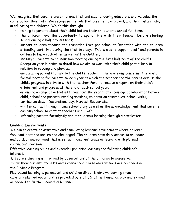We recognise that parents are children's first and most enduring educators and we value the contribution they make. We recognise the role that parents have played, and their future role, in educating the children. We do this through:

- talking to parents about their child before their child starts school full-time;
- the children have the opportunity to spend time with their teacher before starting school during 2 half day sessions;
- support children through the transition from pre-school to Reception with the children attending part time during the first two days. This is also to support staff and parents in getting to know each other as well as the children.
- inviting all parents to an induction meeting during the first half term of the child's Reception year in order to detail how we aim to work with their child particularly in relation to reading and phonics;
- encouraging parents to talk to the child's teacher if there are any concerns. There is a formal meeting for parents twice a year at which the teacher and the parent discuss the child's progress in private with the teacher. Parents receive a report on their child's attainment and progress at the end of each school year;
- arranging a range of activities throughout the year that encourage collaboration between child, school and parents: reading sessions, celebration assemblies, school visits, curriculum days - Decorations day, Harvest Supper etc…
- written contact through home school diary as well as the acknowledgement that parents can ring school to contact teachers and LSA's.
- informing parents fortnightly about children's learning through a newsletter

# **Enabling Environments**

We aim to create an attractive and stimulating learning environment where children feel confident and secure and challenged. The children have daily access to an indoor and outdoor environment that is set up in discreet areas of learning with planned continuous provision.

Effective learning builds and extends upon prior learning and following children's interest.

Effective planning is informed by observations of the children to ensure we follow their current interests and experiences. These observations are recorded in the 2 Simple Program.

Play-based learning is paramount and children direct their own learning from carefully planned opportunities provided by staff. Staff will enhance play and extend as needed to further individual learning.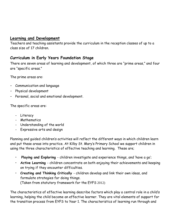# **Learning and Development**

Teachers and teaching assistants provide the curriculum in the reception classes of up to a class size of 17 children.

# **Curriculum in Early Years Foundation Stage**

There are seven areas of learning and development, of which three are "prime areas," and four are "specific areas."

The prime areas are:

- Communication and language
- Physical development
- Personal, social and emotional development.

The specific areas are:

- Literacy
- Mathematics
- Understanding of the world
- Expressive arts and design

Planning and guided children's activities will reflect the different ways in which children learn and put these areas into practice. At Kilby St. Mary's Primary School we support children in using the three characteristics of effective teaching and learning. These are;

- **Playing and Exploring**  children investigate and experience things, and 'have a go';
- **Active Learning**  children concentrate on both enjoying their achievements and keeping on trying if they encounter difficulties.
- **Creating and Thinking Critically**  children develop and link their own ideas, and formulate strategies for doing things. (Taken from statutory framework for the EYFS 2012)

The characteristics of effective learning describe factors which play a central role in a child's learning, helping the child become an effective learner. They are vital elements of support for the transition process from EYFS to Year 1. The characteristics of learning run through and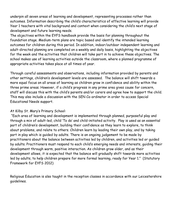underpin all seven areas of learning and development, representing processes rather than outcomes. Information describing the child's characteristics of effective learning will provide Year 1 teachers with vital background and context when considering the child's next stage of development and future learning needs.

The objectives within the EYFS handbook provide the basis for planning throughout the foundation stage. Medium-term plans are topic based and identify the intended learning outcomes for children during this period. In addition, indoor/outdoor independent learning and adult-directed planning are completed on a weekly and daily basis, highlighting the objectives for the week and the activities that children will take part in to achieve these objectives. The school makes use of learning activities outside the classroom, where a planned programme of appropriate activities takes place at all times of year.

Through careful assessments and observations, including information provided by parents and other settings, children's development levels are assessed. The balance will shift towards a more equal focus on all areas of learning as children grow in confidence and ability within the three prime areas. However, if a child's progress in any prime area gives cause for concern, staff will discuss this with the child's parents and/or carers and agree how to support the child. This may also include a discussion with the SEN Co-ordinator in order to access Special Educational Needs support.

#### At Kilby St. Mary's Primary School:

"Each area of learning and development is implemented through planned, purposeful play and through a mix of adult-led, child 'To do' and child-initiated activity. Play is used as an essential part of children's development, building their confidence as they learn to explore, to think about problems, and relate to others. Children learn by leading their own play, and by taking part in play which is guided by adults. There is an ongoing judgement to be made by practitioners about the balance between activities led by children, and activities led or guided by adults. Practitioners must respond to each child's emerging needs and interests, guiding their development through warm, positive interaction. As children grow older, and as their development allows, it is expected that the balance will gradually shift towards more activities led by adults, to help children prepare for more formal learning, ready for Year 1." (Statutory Framework for EYFS 2012)

Religious Education is also taught in the reception classes in accordance with our Leicestershire guidelines.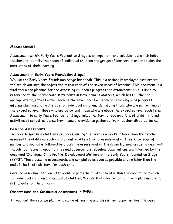# **Assessment**

Assessment within Early Years Foundation Stage is an important and valuable tool which helps teachers to identify the needs of individual children and groups of learners in order to plan the next steps of their learning.

#### **Assessment in Early Years Foundation Stage:**

We use the Early Years Foundation Stage handbook. This is a nationally employed assessment tool which outlines the objectives within each of the seven areas of learning. This document is a vital tool when planning for and assessing children's progress and attainment. This is done by reference to the appropriate statements in Development Matters, which lists all the age appropriate objectives within each of the seven areas of learning. Tracking pupil progress informs planning and next steps for individual children, identifying those who are performing at the expected level, those who are below and those who are above the expected level each term. Assessment in Early Years Foundation Stage takes the form of observations of child-initiated activities at school, evidence from home and evidence gathered from teacher-directed tasks.

#### **Baseline Assessments:**

In order to measure children's progress, during the first few weeks in Reception the teacher assesses the ability of each child on entry. A brief initial assessment of their knowledge of number and sounds is followed by a baseline assessment of the seven learning areas through well thought out learning opportunities and observations. Baseline observations are informed by the document 'Individual Child Profile: Development Matters in the Early Years Foundation Stage (EYFS)'. These baseline assessments are completed as soon as possible and no later than the end of the first half term for each child.

Baseline assessments allow us to identify patterns of attainment within the cohort and to plan for individual children and groups of children. We use this information to inform planning and to set targets for the children.

#### **Observations and Continuous Assessment in EYFS:**

Throughout the year we plan for a range of learning and assessment opportunities. Through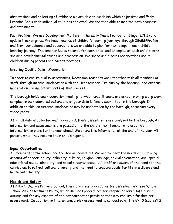observations and collecting of evidence we are able to establish which objectives and Early Learning Goals each individual child has achieved. We are then able to monitor both progress and attainment.

Pupil Profiles: We use Development Matters in the Early Years Foundation Stage (EYFS) and update tracker grids. We keep records of children's learning journeys through 2BuildAProfile and from our evidence and observations we are able to plan for next steps in each child's learning journey. The teacher keeps records for each child, and examples of each child's work, showing developmental stages and progression. We share and discuss observations about children during parents and carers meetings.

Ensuring Quality Data - Moderation:

In order to ensure quality assessment, Reception teachers work together with all members of staff through internal moderation with the Headteacher. Training by the borough, and external moderation are important parts of this process.

The borough holds one moderation meeting to which practitioners are asked to bring along work samples to be moderated before end of year data is finally submitted to the borough. In addition to this, an external moderation may be undertaken by the borough, occurring every three years.

After all data is collected and moderated, these assessments are analysed by the borough. All information and assessments are passed on to the child's next teacher who uses this information to plans for the year ahead. We share this information at the end of the year with parents when they receive their child's report.

#### **Equal Opportunities**

All members of the school are treated as individuals. We aim to meet the needs of all, taking account of gender, ability, ethnicity, culture, religion, language, sexual orientation, age, special educational needs, disability, and social circumstances. All staff are aware of the need for the curriculum to reflect cultural diversity and the need to prepare pupils for life in a diverse and multi-faith society.

#### **Health and Safety**

At Kilby St.Mary's Primary School, there are clear procedures for assessing risk (see Whole School Risk Assessment Policy) which includes procedures for keeping children safe during outings and for any aspects of the environment or provision that may require a further risk assessment. In addition to this, an annual risk assessment is conducted of the EYFS (see EYFS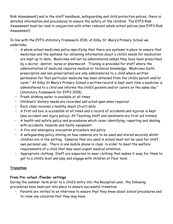Risk Assessment) and in the staff handbook, safeguarding and child protection polices, there is detailed information and procedures to ensure the safety of the children. The EYFS Risk Assessment must be read in conjunction with other relevant whole school polices (see EYFS Risk Assessment)

In line with the EYFS statutory framework 2018, at Kilby St. Mary's Primary School we undertake;

- A whole school medicines policy specifying that there are systems in place to ensure that medicines and the systems for obtaining information about a child's needs for medication are kept up to date. Medicines will not be administered unless they have been prescribed by a doctor, dentist, nurse or pharmacist. Training is provided for staff where the administration of medicine requires medical or technical knowledge. Medicines (both prescription and non-prescription) are only administered to a child where written permission for that particular medicine has been obtained from the child's parent and/or carer." At Kilby St Mary's Primary School a written record is kept each time a medicine is administered to a child and informs the child's parents and/or carers on the same day." (Statutory framework for EYFS 2018)
- Fresh drinking water is available at all times
- Children's' dietary needs are recorded and acted upon when required
- Each class receives a healthy snack (fruit) daily
- A first aid box is accessible at all times and a record of accidents and injuries is kept (see accident and injury policy). All Teaching staff and assistants are first aid trained.
- A health and safety policy and procedures which cover identifying, reporting and dealing with accidents, hazards and faulty equipment.
- A fire and emergency evacuation procedure and policy
- A safeguarding policy stating on how cameras are to be used and stored securely whilst children are in the setting. Cameras that are used in school must not be used for staff own personal use. There is one mobile phone in class in order to meet the welfare requirements of a child that may need urgent medical attention.
- Appropriate clothing: Staff are expected to wear clothing that makes it easy for them to get to a child's level and play and engage with children at floor level.

# **Transition**

# **From Pre-school /Feeder settings**

During the summer term prior to a child's entry into the Reception year, the following procedures have been put into place to ensure successful transition

• Parents are invited to an interview to ensure that they know about school procedures and to raise any concerns that they may have.